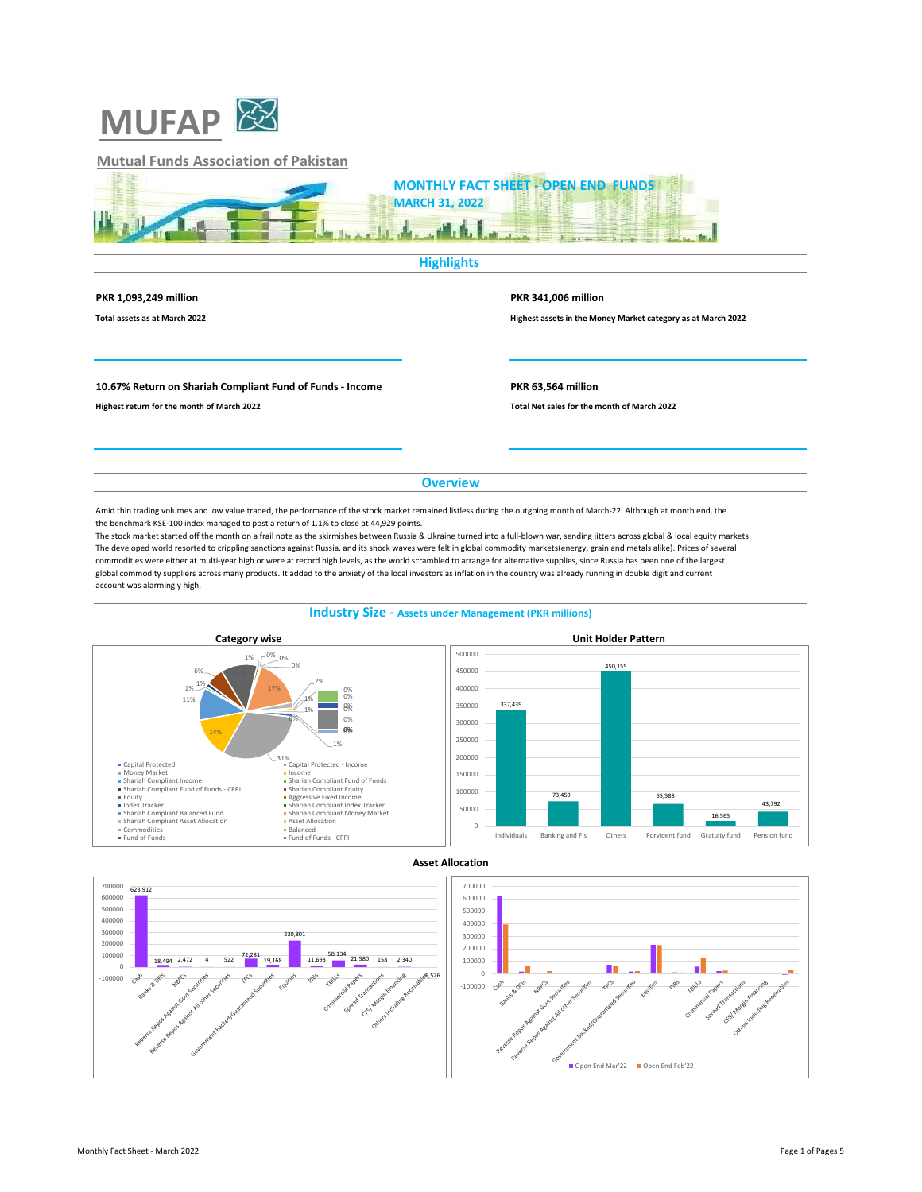

# **Mutual Funds Association of Pakistan**



### **Highlights**

**PKR 1,093,249 million PKR 341,006 million**

**Total assets as at March 2022 Highest assets in the Money Market category as at March 2022**

#### **10.67% Return on Shariah Compliant Fund of Funds - Income PKR 63,564 million**

**Highest return for the month of March 2022 Total Net sales for the month of March 2022**

**Overview**

Amid thin trading volumes and low value traded, the performance of the stock market remained listless during the outgoing month of March-22. Although at month end, the the benchmark KSE-100 index managed to post a return of 1.1% to close at 44,929 points.

The stock market started off the month on a frail note as the skirmishes between Russia & Ukraine turned into a full-blown war, sending jitters across global & local equity markets. The developed world resorted to crippling sanctions against Russia, and its shock waves were felt in global commodity markets(energy, grain and metals alike). Prices of several commodities were either at multi-year high or were at record high levels, as the world scrambled to arrange for alternative supplies, since Russia has been one of the largest global commodity suppliers across many products. It added to the anxiety of the local investors as inflation in the country was already running in double digit and current account was alarmingly high.





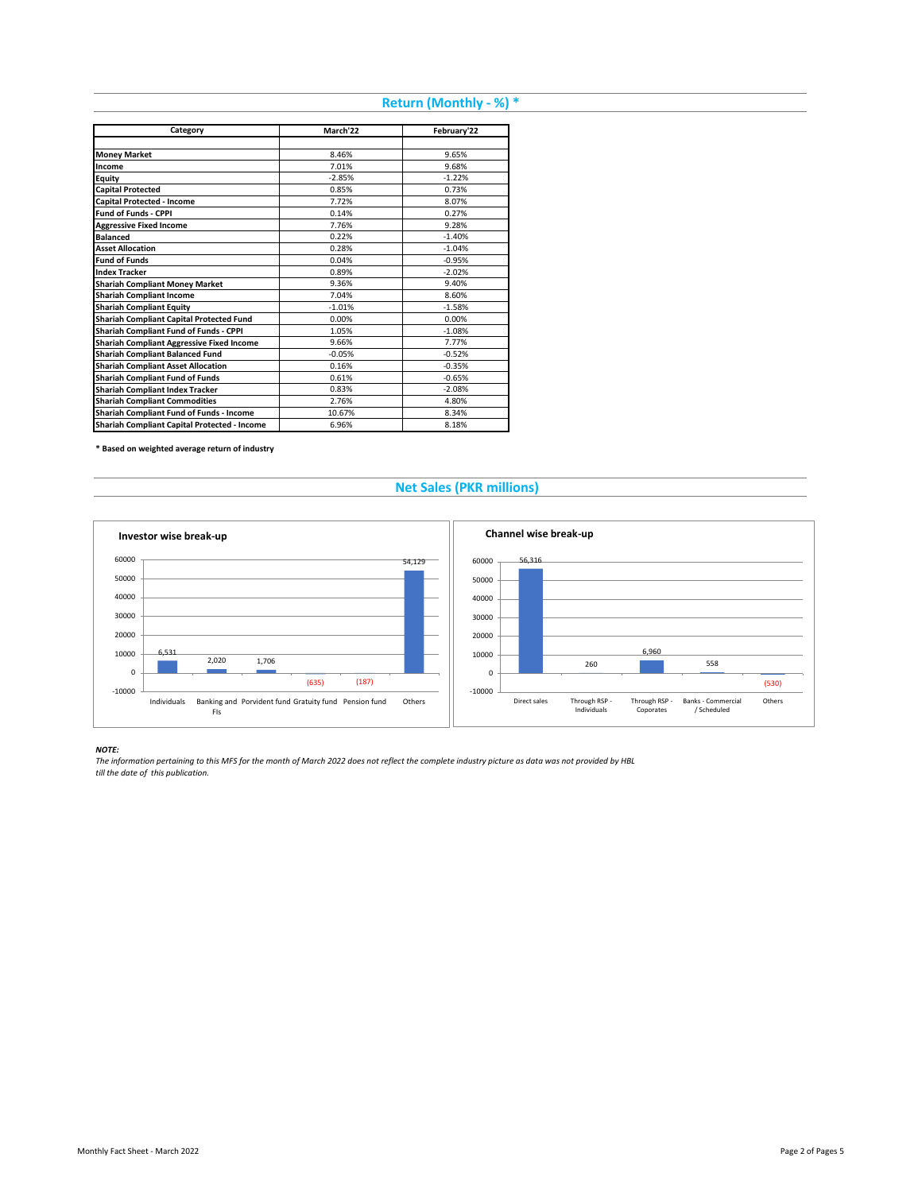# **Return (Monthly - %) \***

| Category                                         | March'22 | February'22 |
|--------------------------------------------------|----------|-------------|
|                                                  |          |             |
| <b>Money Market</b>                              | 8.46%    | 9.65%       |
| Income                                           | 7.01%    | 9.68%       |
| Equity                                           | $-2.85%$ | $-1.22%$    |
| <b>Capital Protected</b>                         | 0.85%    | 0.73%       |
| Capital Protected - Income                       | 7.72%    | 8.07%       |
| <b>Fund of Funds - CPPI</b>                      | 0.14%    | 0.27%       |
| <b>Aggressive Fixed Income</b>                   | 7.76%    | 9.28%       |
| <b>Balanced</b>                                  | 0.22%    | $-1.40%$    |
| <b>Asset Allocation</b>                          | 0.28%    | $-1.04%$    |
| <b>Fund of Funds</b>                             | 0.04%    | $-0.95%$    |
| <b>Index Tracker</b>                             | 0.89%    | $-2.02%$    |
| <b>Shariah Compliant Money Market</b>            | 9.36%    | 9.40%       |
| <b>Shariah Compliant Income</b>                  | 7.04%    | 8.60%       |
| <b>Shariah Compliant Equity</b>                  | $-1.01%$ | $-1.58%$    |
| Shariah Compliant Capital Protected Fund         | 0.00%    | 0.00%       |
| Shariah Compliant Fund of Funds - CPPI           | 1.05%    | $-1.08%$    |
| <b>Shariah Compliant Aggressive Fixed Income</b> | 9.66%    | 7.77%       |
| <b>Shariah Compliant Balanced Fund</b>           | $-0.05%$ | $-0.52%$    |
| <b>Shariah Compliant Asset Allocation</b>        | 0.16%    | $-0.35%$    |
| <b>Shariah Compliant Fund of Funds</b>           | 0.61%    | $-0.65%$    |
| <b>Shariah Compliant Index Tracker</b>           | 0.83%    | $-2.08%$    |
| <b>Shariah Compliant Commodities</b>             | 2.76%    | 4.80%       |
| Shariah Compliant Fund of Funds - Income         | 10.67%   | 8.34%       |
| Shariah Compliant Capital Protected - Income     | 6.96%    | 8.18%       |

**\* Based on weighted average return of industry**

# **Net Sales (PKR millions)**



#### *NOTE:*

*The information pertaining to this MFS for the month of March 2022 does not reflect the complete industry picture as data was not provided by HBL till the date of this publication.*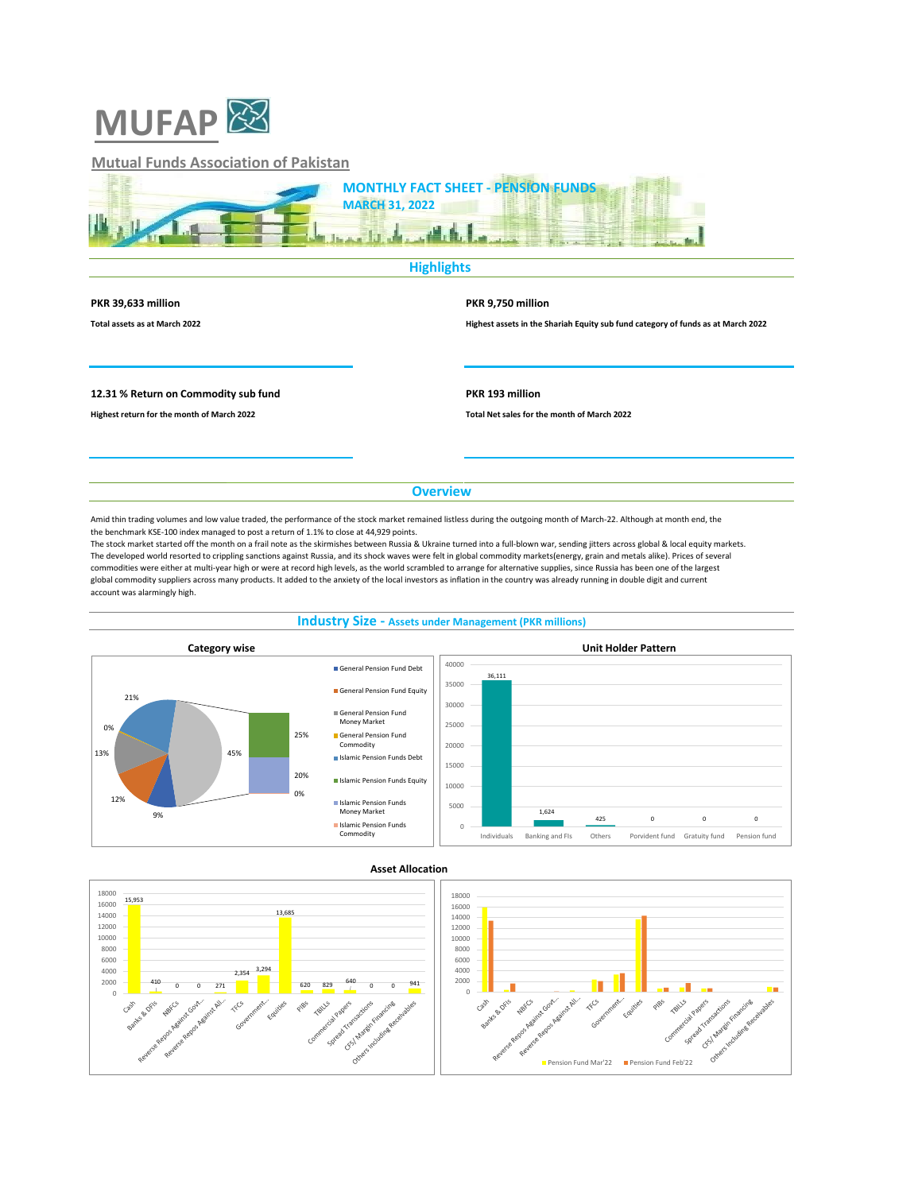

# **Mutual Funds Association of Pakistan**



# **Highlights**

#### **PKR 39,633 million PKR 9,750 million**

**Total assets as at March 2022 Highest assets in the Shariah Equity sub fund category of funds as at March 2022**

### **12.31 % Return on Commodity sub fund PKR 193 million**

**Highest return for the month of March 2022 Total Net sales for the month of March 2022**

**Overview**

Amid thin trading volumes and low value traded, the performance of the stock market remained listless during the outgoing month of March-22. Although at month end, the the benchmark KSE-100 index managed to post a return of 1.1% to close at 44,929 points.

The stock market started off the month on a frail note as the skirmishes between Russia & Ukraine turned into a full-blown war, sending jitters across global & local equity markets. The developed world resorted to crippling sanctions against Russia, and its shock waves were felt in global commodity markets(energy, grain and metals alike). Prices of several commodities were either at multi-year high or were at record high levels, as the world scrambled to arrange for alternative supplies, since Russia has been one of the largest global commodity suppliers across many products. It added to the anxiety of the local investors as inflation in the country was already running in double digit and current account was alarmingly high.

## **Industry Size - Assets under Management (PKR millions)**





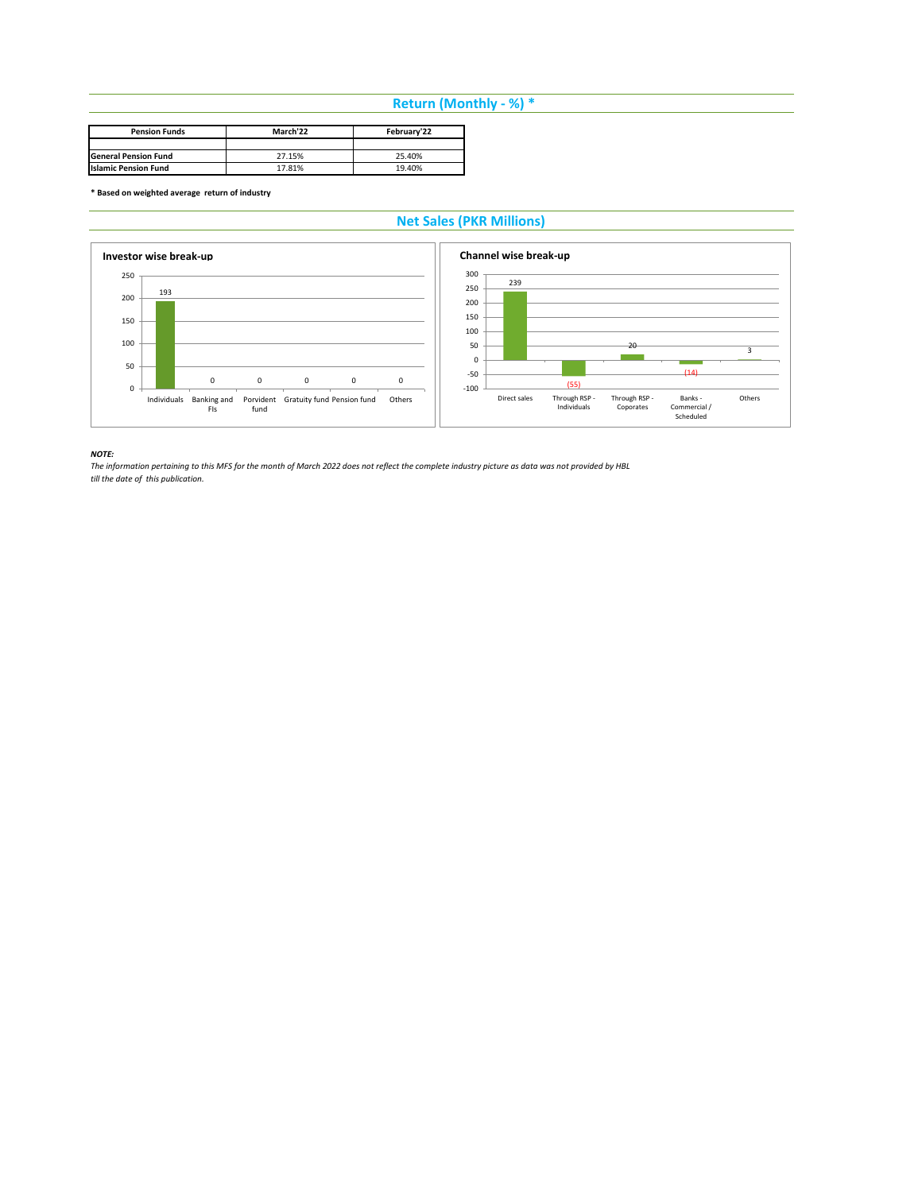# **Return (Monthly - %) \***

| <b>Pension Funds</b>        | March'22 | February'22 |
|-----------------------------|----------|-------------|
|                             |          |             |
| <b>General Pension Fund</b> | 27.15%   | 25.40%      |
| <b>Islamic Pension Fund</b> | 17.81%   | 19.40%      |

**\* Based on weighted average return of industry**

# **Net Sales (PKR Millions)**



*NOTE:* 

*The information pertaining to this MFS for the month of March 2022 does not reflect the complete industry picture as data was not provided by HBL till the date of this publication.*